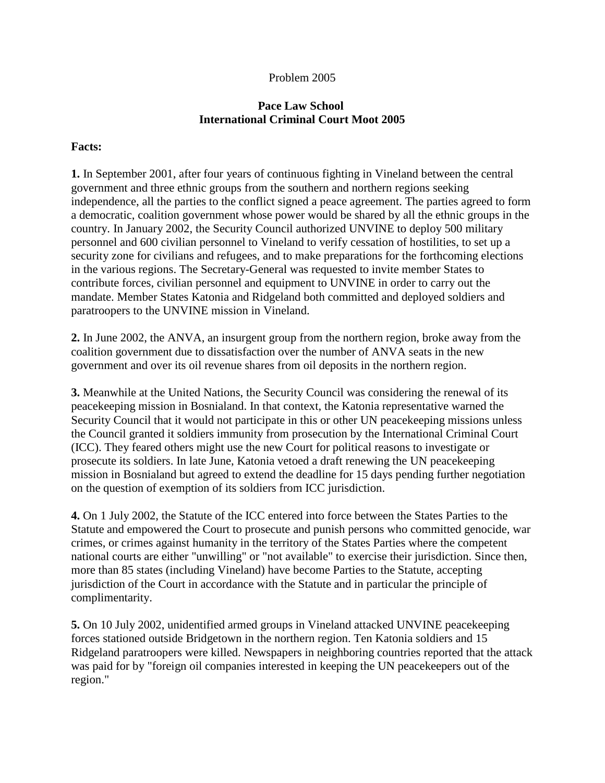### Problem 2005

## **Pace Law School International Criminal Court Moot 2005**

### **Facts:**

**1.** In September 2001, after four years of continuous fighting in Vineland between the central government and three ethnic groups from the southern and northern regions seeking independence, all the parties to the conflict signed a peace agreement. The parties agreed to form a democratic, coalition government whose power would be shared by all the ethnic groups in the country. In January 2002, the Security Council authorized UNVINE to deploy 500 military personnel and 600 civilian personnel to Vineland to verify cessation of hostilities, to set up a security zone for civilians and refugees, and to make preparations for the forthcoming elections in the various regions. The Secretary-General was requested to invite member States to contribute forces, civilian personnel and equipment to UNVINE in order to carry out the mandate. Member States Katonia and Ridgeland both committed and deployed soldiers and paratroopers to the UNVINE mission in Vineland.

**2.** In June 2002, the ANVA, an insurgent group from the northern region, broke away from the coalition government due to dissatisfaction over the number of ANVA seats in the new government and over its oil revenue shares from oil deposits in the northern region.

**3.** Meanwhile at the United Nations, the Security Council was considering the renewal of its peacekeeping mission in Bosnialand. In that context, the Katonia representative warned the Security Council that it would not participate in this or other UN peacekeeping missions unless the Council granted it soldiers immunity from prosecution by the International Criminal Court (ICC). They feared others might use the new Court for political reasons to investigate or prosecute its soldiers. In late June, Katonia vetoed a draft renewing the UN peacekeeping mission in Bosnialand but agreed to extend the deadline for 15 days pending further negotiation on the question of exemption of its soldiers from ICC jurisdiction.

**4.** On 1 July 2002, the Statute of the ICC entered into force between the States Parties to the Statute and empowered the Court to prosecute and punish persons who committed genocide, war crimes, or crimes against humanity in the territory of the States Parties where the competent national courts are either "unwilling" or "not available" to exercise their jurisdiction. Since then, more than 85 states (including Vineland) have become Parties to the Statute, accepting jurisdiction of the Court in accordance with the Statute and in particular the principle of complimentarity.

**5.** On 10 July 2002, unidentified armed groups in Vineland attacked UNVINE peacekeeping forces stationed outside Bridgetown in the northern region. Ten Katonia soldiers and 15 Ridgeland paratroopers were killed. Newspapers in neighboring countries reported that the attack was paid for by "foreign oil companies interested in keeping the UN peacekeepers out of the region."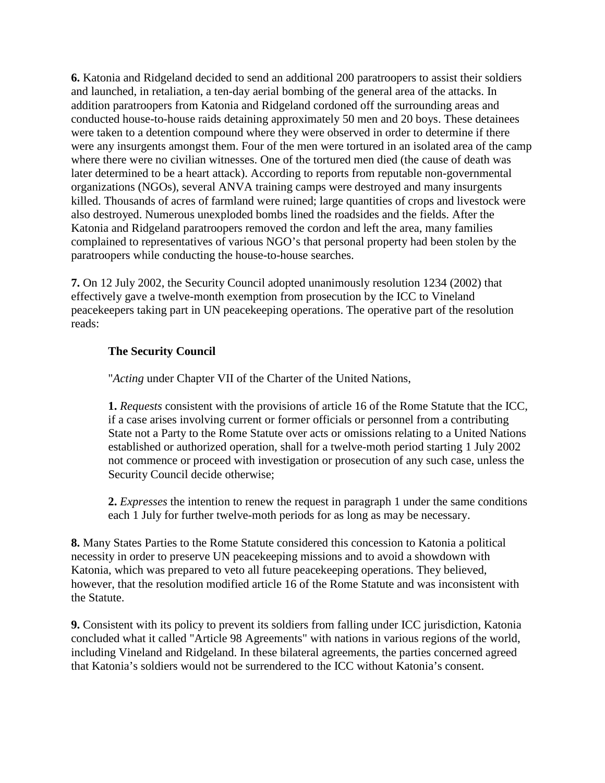**6.** Katonia and Ridgeland decided to send an additional 200 paratroopers to assist their soldiers and launched, in retaliation, a ten-day aerial bombing of the general area of the attacks. In addition paratroopers from Katonia and Ridgeland cordoned off the surrounding areas and conducted house-to-house raids detaining approximately 50 men and 20 boys. These detainees were taken to a detention compound where they were observed in order to determine if there were any insurgents amongst them. Four of the men were tortured in an isolated area of the camp where there were no civilian witnesses. One of the tortured men died (the cause of death was later determined to be a heart attack). According to reports from reputable non-governmental organizations (NGOs), several ANVA training camps were destroyed and many insurgents killed. Thousands of acres of farmland were ruined; large quantities of crops and livestock were also destroyed. Numerous unexploded bombs lined the roadsides and the fields. After the Katonia and Ridgeland paratroopers removed the cordon and left the area, many families complained to representatives of various NGO's that personal property had been stolen by the paratroopers while conducting the house-to-house searches.

**7.** On 12 July 2002, the Security Council adopted unanimously resolution 1234 (2002) that effectively gave a twelve-month exemption from prosecution by the ICC to Vineland peacekeepers taking part in UN peacekeeping operations. The operative part of the resolution reads:

# **The Security Council**

"*Acting* under Chapter VII of the Charter of the United Nations,

**1.** *Requests* consistent with the provisions of article 16 of the Rome Statute that the ICC, if a case arises involving current or former officials or personnel from a contributing State not a Party to the Rome Statute over acts or omissions relating to a United Nations established or authorized operation, shall for a twelve-moth period starting 1 July 2002 not commence or proceed with investigation or prosecution of any such case, unless the Security Council decide otherwise;

**2.** *Expresses* the intention to renew the request in paragraph 1 under the same conditions each 1 July for further twelve-moth periods for as long as may be necessary.

**8.** Many States Parties to the Rome Statute considered this concession to Katonia a political necessity in order to preserve UN peacekeeping missions and to avoid a showdown with Katonia, which was prepared to veto all future peacekeeping operations. They believed, however, that the resolution modified article 16 of the Rome Statute and was inconsistent with the Statute.

**9.** Consistent with its policy to prevent its soldiers from falling under ICC jurisdiction, Katonia concluded what it called "Article 98 Agreements" with nations in various regions of the world, including Vineland and Ridgeland. In these bilateral agreements, the parties concerned agreed that Katonia's soldiers would not be surrendered to the ICC without Katonia's consent.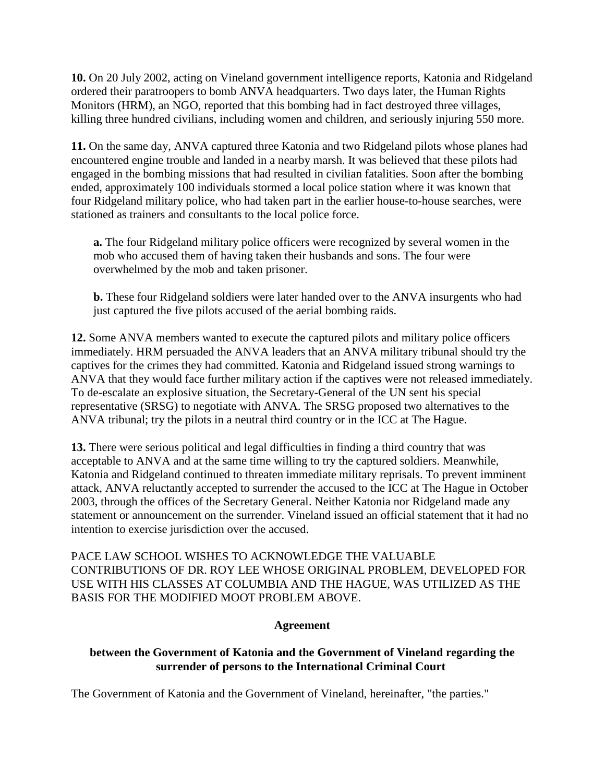**10.** On 20 July 2002, acting on Vineland government intelligence reports, Katonia and Ridgeland ordered their paratroopers to bomb ANVA headquarters. Two days later, the Human Rights Monitors (HRM), an NGO, reported that this bombing had in fact destroyed three villages, killing three hundred civilians, including women and children, and seriously injuring 550 more.

**11.** On the same day, ANVA captured three Katonia and two Ridgeland pilots whose planes had encountered engine trouble and landed in a nearby marsh. It was believed that these pilots had engaged in the bombing missions that had resulted in civilian fatalities. Soon after the bombing ended, approximately 100 individuals stormed a local police station where it was known that four Ridgeland military police, who had taken part in the earlier house-to-house searches, were stationed as trainers and consultants to the local police force.

**a.** The four Ridgeland military police officers were recognized by several women in the mob who accused them of having taken their husbands and sons. The four were overwhelmed by the mob and taken prisoner.

**b.** These four Ridgeland soldiers were later handed over to the ANVA insurgents who had just captured the five pilots accused of the aerial bombing raids.

**12.** Some ANVA members wanted to execute the captured pilots and military police officers immediately. HRM persuaded the ANVA leaders that an ANVA military tribunal should try the captives for the crimes they had committed. Katonia and Ridgeland issued strong warnings to ANVA that they would face further military action if the captives were not released immediately. To de-escalate an explosive situation, the Secretary-General of the UN sent his special representative (SRSG) to negotiate with ANVA. The SRSG proposed two alternatives to the ANVA tribunal; try the pilots in a neutral third country or in the ICC at The Hague.

**13.** There were serious political and legal difficulties in finding a third country that was acceptable to ANVA and at the same time willing to try the captured soldiers. Meanwhile, Katonia and Ridgeland continued to threaten immediate military reprisals. To prevent imminent attack, ANVA reluctantly accepted to surrender the accused to the ICC at The Hague in October 2003, through the offices of the Secretary General. Neither Katonia nor Ridgeland made any statement or announcement on the surrender. Vineland issued an official statement that it had no intention to exercise jurisdiction over the accused.

PACE LAW SCHOOL WISHES TO ACKNOWLEDGE THE VALUABLE CONTRIBUTIONS OF DR. ROY LEE WHOSE ORIGINAL PROBLEM, DEVELOPED FOR USE WITH HIS CLASSES AT COLUMBIA AND THE HAGUE, WAS UTILIZED AS THE BASIS FOR THE MODIFIED MOOT PROBLEM ABOVE.

#### **Agreement**

### **between the Government of Katonia and the Government of Vineland regarding the surrender of persons to the International Criminal Court**

The Government of Katonia and the Government of Vineland, hereinafter, "the parties."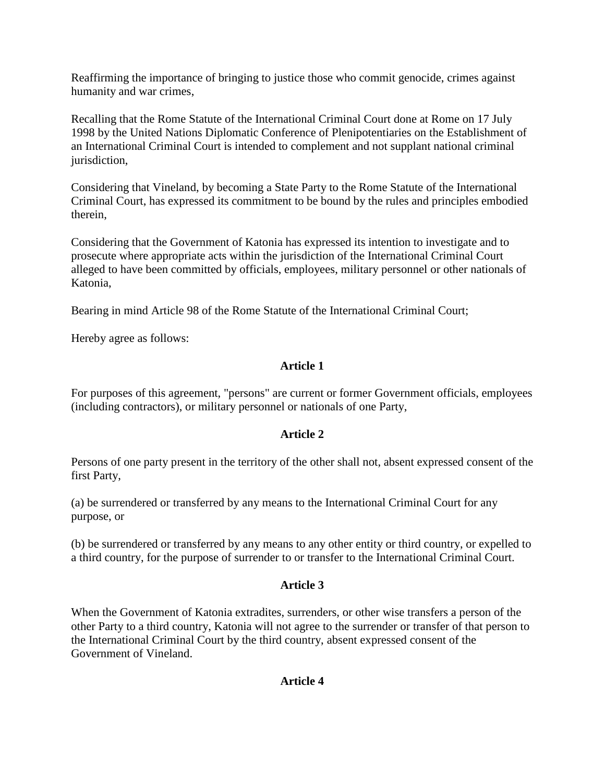Reaffirming the importance of bringing to justice those who commit genocide, crimes against humanity and war crimes,

Recalling that the Rome Statute of the International Criminal Court done at Rome on 17 July 1998 by the United Nations Diplomatic Conference of Plenipotentiaries on the Establishment of an International Criminal Court is intended to complement and not supplant national criminal jurisdiction,

Considering that Vineland, by becoming a State Party to the Rome Statute of the International Criminal Court, has expressed its commitment to be bound by the rules and principles embodied therein,

Considering that the Government of Katonia has expressed its intention to investigate and to prosecute where appropriate acts within the jurisdiction of the International Criminal Court alleged to have been committed by officials, employees, military personnel or other nationals of Katonia,

Bearing in mind Article 98 of the Rome Statute of the International Criminal Court;

Hereby agree as follows:

## **Article 1**

For purposes of this agreement, "persons" are current or former Government officials, employees (including contractors), or military personnel or nationals of one Party,

## **Article 2**

Persons of one party present in the territory of the other shall not, absent expressed consent of the first Party,

(a) be surrendered or transferred by any means to the International Criminal Court for any purpose, or

(b) be surrendered or transferred by any means to any other entity or third country, or expelled to a third country, for the purpose of surrender to or transfer to the International Criminal Court.

#### **Article 3**

When the Government of Katonia extradites, surrenders, or other wise transfers a person of the other Party to a third country, Katonia will not agree to the surrender or transfer of that person to the International Criminal Court by the third country, absent expressed consent of the Government of Vineland.

#### **Article 4**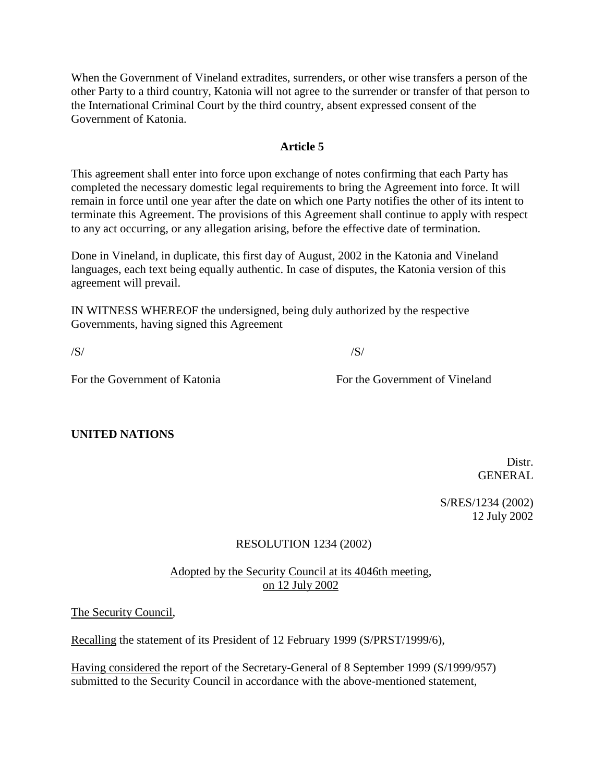When the Government of Vineland extradites, surrenders, or other wise transfers a person of the other Party to a third country, Katonia will not agree to the surrender or transfer of that person to the International Criminal Court by the third country, absent expressed consent of the Government of Katonia.

### **Article 5**

This agreement shall enter into force upon exchange of notes confirming that each Party has completed the necessary domestic legal requirements to bring the Agreement into force. It will remain in force until one year after the date on which one Party notifies the other of its intent to terminate this Agreement. The provisions of this Agreement shall continue to apply with respect to any act occurring, or any allegation arising, before the effective date of termination.

Done in Vineland, in duplicate, this first day of August, 2002 in the Katonia and Vineland languages, each text being equally authentic. In case of disputes, the Katonia version of this agreement will prevail.

IN WITNESS WHEREOF the undersigned, being duly authorized by the respective Governments, having signed this Agreement

 $\sqrt{S}/\sqrt{S}$ 

For the Government of Katonia For the Government of Vineland

#### **UNITED NATIONS**

Distr. GENERAL

S/RES/1234 (2002) 12 July 2002

## RESOLUTION 1234 (2002)

## Adopted by the Security Council at its 4046th meeting, on 12 July 2002

The Security Council,

Recalling the statement of its President of 12 February 1999 (S/PRST/1999/6),

Having considered the report of the Secretary-General of 8 September 1999 (S/1999/957) submitted to the Security Council in accordance with the above-mentioned statement,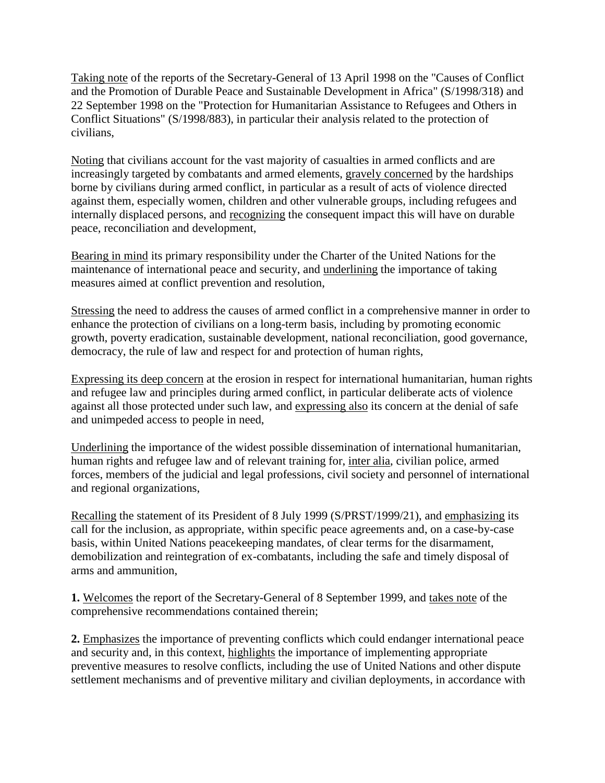Taking note of the reports of the Secretary-General of 13 April 1998 on the "Causes of Conflict and the Promotion of Durable Peace and Sustainable Development in Africa" (S/1998/318) and 22 September 1998 on the "Protection for Humanitarian Assistance to Refugees and Others in Conflict Situations" (S/1998/883), in particular their analysis related to the protection of civilians,

Noting that civilians account for the vast majority of casualties in armed conflicts and are increasingly targeted by combatants and armed elements, gravely concerned by the hardships borne by civilians during armed conflict, in particular as a result of acts of violence directed against them, especially women, children and other vulnerable groups, including refugees and internally displaced persons, and recognizing the consequent impact this will have on durable peace, reconciliation and development,

Bearing in mind its primary responsibility under the Charter of the United Nations for the maintenance of international peace and security, and underlining the importance of taking measures aimed at conflict prevention and resolution,

Stressing the need to address the causes of armed conflict in a comprehensive manner in order to enhance the protection of civilians on a long-term basis, including by promoting economic growth, poverty eradication, sustainable development, national reconciliation, good governance, democracy, the rule of law and respect for and protection of human rights,

Expressing its deep concern at the erosion in respect for international humanitarian, human rights and refugee law and principles during armed conflict, in particular deliberate acts of violence against all those protected under such law, and expressing also its concern at the denial of safe and unimpeded access to people in need,

Underlining the importance of the widest possible dissemination of international humanitarian, human rights and refugee law and of relevant training for, inter alia, civilian police, armed forces, members of the judicial and legal professions, civil society and personnel of international and regional organizations,

Recalling the statement of its President of 8 July 1999 (S/PRST/1999/21), and emphasizing its call for the inclusion, as appropriate, within specific peace agreements and, on a case-by-case basis, within United Nations peacekeeping mandates, of clear terms for the disarmament, demobilization and reintegration of ex-combatants, including the safe and timely disposal of arms and ammunition,

**1.** Welcomes the report of the Secretary-General of 8 September 1999, and takes note of the comprehensive recommendations contained therein;

**2.** Emphasizes the importance of preventing conflicts which could endanger international peace and security and, in this context, highlights the importance of implementing appropriate preventive measures to resolve conflicts, including the use of United Nations and other dispute settlement mechanisms and of preventive military and civilian deployments, in accordance with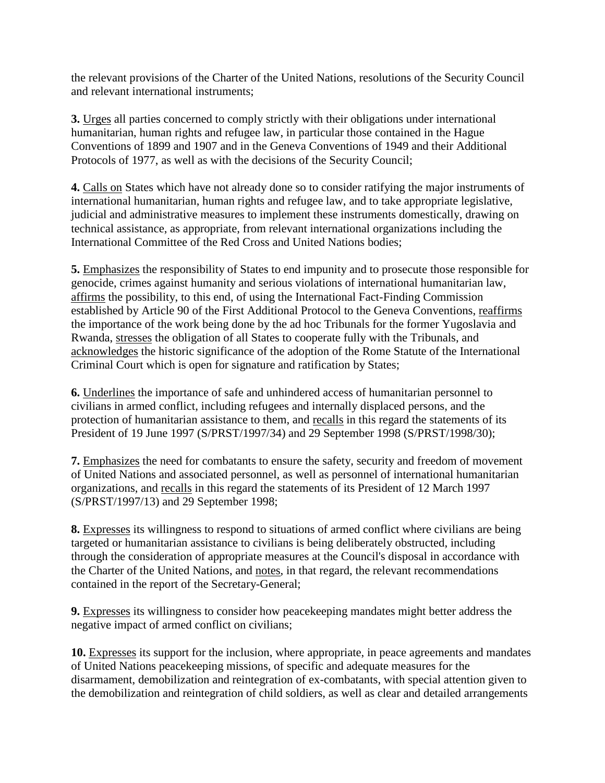the relevant provisions of the Charter of the United Nations, resolutions of the Security Council and relevant international instruments;

**3.** Urges all parties concerned to comply strictly with their obligations under international humanitarian, human rights and refugee law, in particular those contained in the Hague Conventions of 1899 and 1907 and in the Geneva Conventions of 1949 and their Additional Protocols of 1977, as well as with the decisions of the Security Council;

**4.** Calls on States which have not already done so to consider ratifying the major instruments of international humanitarian, human rights and refugee law, and to take appropriate legislative, judicial and administrative measures to implement these instruments domestically, drawing on technical assistance, as appropriate, from relevant international organizations including the International Committee of the Red Cross and United Nations bodies;

**5.** Emphasizes the responsibility of States to end impunity and to prosecute those responsible for genocide, crimes against humanity and serious violations of international humanitarian law, affirms the possibility, to this end, of using the International Fact-Finding Commission established by Article 90 of the First Additional Protocol to the Geneva Conventions, reaffirms the importance of the work being done by the ad hoc Tribunals for the former Yugoslavia and Rwanda, stresses the obligation of all States to cooperate fully with the Tribunals, and acknowledges the historic significance of the adoption of the Rome Statute of the International Criminal Court which is open for signature and ratification by States;

**6.** Underlines the importance of safe and unhindered access of humanitarian personnel to civilians in armed conflict, including refugees and internally displaced persons, and the protection of humanitarian assistance to them, and recalls in this regard the statements of its President of 19 June 1997 (S/PRST/1997/34) and 29 September 1998 (S/PRST/1998/30);

**7.** Emphasizes the need for combatants to ensure the safety, security and freedom of movement of United Nations and associated personnel, as well as personnel of international humanitarian organizations, and recalls in this regard the statements of its President of 12 March 1997 (S/PRST/1997/13) and 29 September 1998;

**8.** Expresses its willingness to respond to situations of armed conflict where civilians are being targeted or humanitarian assistance to civilians is being deliberately obstructed, including through the consideration of appropriate measures at the Council's disposal in accordance with the Charter of the United Nations, and notes, in that regard, the relevant recommendations contained in the report of the Secretary-General;

**9.** Expresses its willingness to consider how peace keeping mandates might better address the negative impact of armed conflict on civilians;

**10.** Expresses its support for the inclusion, where appropriate, in peace agreements and mandates of United Nations peacekeeping missions, of specific and adequate measures for the disarmament, demobilization and reintegration of ex-combatants, with special attention given to the demobilization and reintegration of child soldiers, as well as clear and detailed arrangements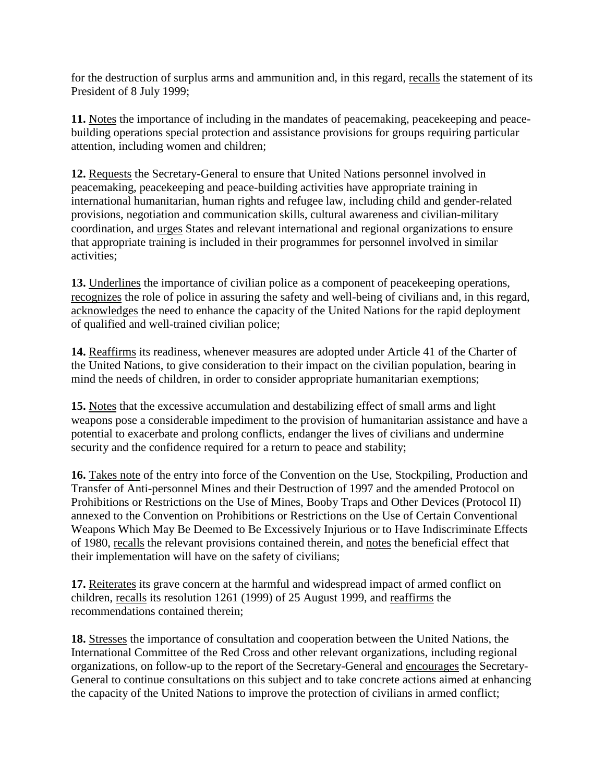for the destruction of surplus arms and ammunition and, in this regard, recalls the statement of its President of 8 July 1999;

**11.** Notes the importance of including in the mandates of peacemaking, peacekeeping and peacebuilding operations special protection and assistance provisions for groups requiring particular attention, including women and children;

**12.** Requests the Secretary-General to ensure that United Nations personnel involved in peacemaking, peacekeeping and peace-building activities have appropriate training in international humanitarian, human rights and refugee law, including child and gender-related provisions, negotiation and communication skills, cultural awareness and civilian-military coordination, and urges States and relevant international and regional organizations to ensure that appropriate training is included in their programmes for personnel involved in similar activities;

**13.** Underlines the importance of civilian police as a component of peacekeeping operations, recognizes the role of police in assuring the safety and well-being of civilians and, in this regard, acknowledges the need to enhance the capacity of the United Nations for the rapid deployment of qualified and well-trained civilian police;

**14.** Reaffirms its readiness, whenever measures are adopted under Article 41 of the Charter of the United Nations, to give consideration to their impact on the civilian population, bearing in mind the needs of children, in order to consider appropriate humanitarian exemptions;

**15.** Notes that the excessive accumulation and destabilizing effect of small arms and light weapons pose a considerable impediment to the provision of humanitarian assistance and have a potential to exacerbate and prolong conflicts, endanger the lives of civilians and undermine security and the confidence required for a return to peace and stability;

**16.** Takes note of the entry into force of the Convention on the Use, Stockpiling, Production and Transfer of Anti-personnel Mines and their Destruction of 1997 and the amended Protocol on Prohibitions or Restrictions on the Use of Mines, Booby Traps and Other Devices (Protocol II) annexed to the Convention on Prohibitions or Restrictions on the Use of Certain Conventional Weapons Which May Be Deemed to Be Excessively Injurious or to Have Indiscriminate Effects of 1980, recalls the relevant provisions contained therein, and notes the beneficial effect that their implementation will have on the safety of civilians;

**17.** Reiterates its grave concern at the harmful and widespread impact of armed conflict on children, recalls its resolution 1261 (1999) of 25 August 1999, and reaffirms the recommendations contained therein;

**18.** Stresses the importance of consultation and cooperation between the United Nations, the International Committee of the Red Cross and other relevant organizations, including regional organizations, on follow-up to the report of the Secretary-General and encourages the Secretary-General to continue consultations on this subject and to take concrete actions aimed at enhancing the capacity of the United Nations to improve the protection of civilians in armed conflict;